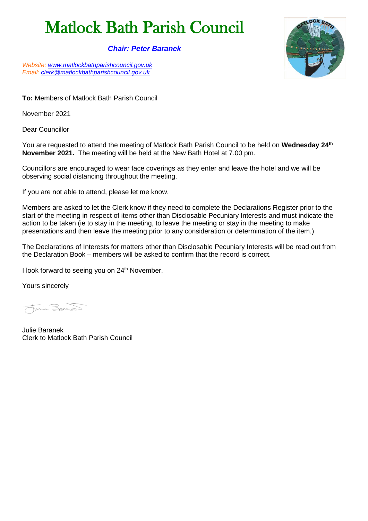# Matlock Bath Parish Council

### *Chair: Peter Baranek*

*Website: [www.matlockbathparishcouncil.gov.uk](http://www.matlockbathparishcouncil.gov.uk/) Email: [clerk@matlockbathparishcouncil.gov.uk](mailto:clerk@matlockbathparishcouncil.gov.uk)*

**To:** Members of Matlock Bath Parish Council

November 2021

Dear Councillor

You are requested to attend the meeting of Matlock Bath Parish Council to be held on **Wednesday 24th November 2021.** The meeting will be held at the New Bath Hotel at 7.00 pm.

Councillors are encouraged to wear face coverings as they enter and leave the hotel and we will be observing social distancing throughout the meeting.

If you are not able to attend, please let me know.

Members are asked to let the Clerk know if they need to complete the Declarations Register prior to the start of the meeting in respect of items other than Disclosable Pecuniary Interests and must indicate the action to be taken (ie to stay in the meeting, to leave the meeting or stay in the meeting to make presentations and then leave the meeting prior to any consideration or determination of the item.)

The Declarations of Interests for matters other than Disclosable Pecuniary Interests will be read out from the Declaration Book – members will be asked to confirm that the record is correct.

I look forward to seeing you on 24<sup>th</sup> November.

Yours sincerely

Juie Borant

Julie Baranek Clerk to Matlock Bath Parish Council

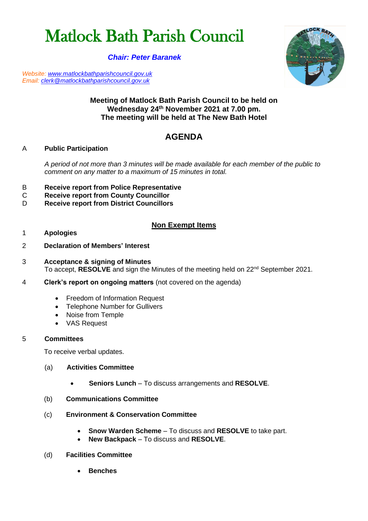# Matlock Bath Parish Council

## *Chair: Peter Baranek*

*Website: [www.matlockbathparishcouncil.gov.uk](http://www.matlockbathparishcouncil.gov.uk/) Email: [clerk@matlockbathparishcouncil.gov.uk](mailto:clerk@matlockbathparishcouncil.gov.uk)*



# **Meeting of Matlock Bath Parish Council to be held on Wednesday 24 th November 2021 at 7.00 pm. The meeting will be held at The New Bath Hotel**

# **AGENDA**

## A **Public Participation**

*A period of not more than 3 minutes will be made available for each member of the public to comment on any matter to a maximum of 15 minutes in total.*

- B **Receive report from Police Representative**
- **Receive report from County Councillor**
- D **Receive report from District Councillors**

# **Non Exempt Items**

#### 1 **Apologies**

- 2 **Declaration of Members' Interest**
- 3 **Acceptance & signing of Minutes**  To accept, RESOLVE and sign the Minutes of the meeting held on 22<sup>nd</sup> September 2021.
- 4 **Clerk's report on ongoing matters** (not covered on the agenda)
	- Freedom of Information Request
	- Telephone Number for Gullivers
	- Noise from Temple
	- VAS Request

#### 5 **Committees**

To receive verbal updates.

- (a) **Activities Committee**
	- **Seniors Lunch** To discuss arrangements and **RESOLVE**.
- (b) **Communications Committee**
- (c) **Environment & Conservation Committee**
	- **Snow Warden Scheme** To discuss and **RESOLVE** to take part.
	- **New Backpack** To discuss and **RESOLVE**.

#### (d) **Facilities Committee**

• **Benches**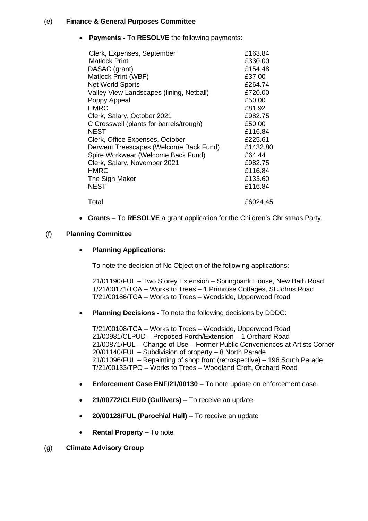#### (e) **Finance & General Purposes Committee**

• **Payments -** To **RESOLVE** the following payments:

| £163.84  |
|----------|
| £330.00  |
| £154.48  |
| £37.00   |
| £264.74  |
| £720.00  |
| £50.00   |
| £81.92   |
| £982.75  |
| £50.00   |
| £116.84  |
| £225.61  |
| £1432.80 |
| £64.44   |
| £982.75  |
| £116.84  |
| £133.60  |
| £116.84  |
| £6024.45 |
|          |

• **Grants** – To **RESOLVE** a grant application for the Children's Christmas Party.

#### (f) **Planning Committee**

#### • **Planning Applications:**

To note the decision of No Objection of the following applications:

21/01190/FUL – Two Storey Extension – Springbank House, New Bath Road T/21/00171/TCA – Works to Trees – 1 Primrose Cottages, St Johns Road T/21/00186/TCA – Works to Trees – Woodside, Upperwood Road

• **Planning Decisions -** To note the following decisions by DDDC:

T/21/00108/TCA – Works to Trees – Woodside, Upperwood Road 21/00981/CLPUD – Proposed Porch/Extension – 1 Orchard Road 21/00871/FUL – Change of Use – Former Public Conveniences at Artists Corner 20/01140/FUL – Subdivision of property – 8 North Parade 21/01096/FUL – Repainting of shop front (retrospective) – 196 South Parade T/21/00133/TPO – Works to Trees – Woodland Croft, Orchard Road

- **Enforcement Case ENF/21/00130**  To note update on enforcement case.
- **21/00772/CLEUD (Gullivers)** To receive an update.
- **20/00128/FUL (Parochial Hall)** To receive an update
- **Rental Property** To note

#### (g) **Climate Advisory Group**